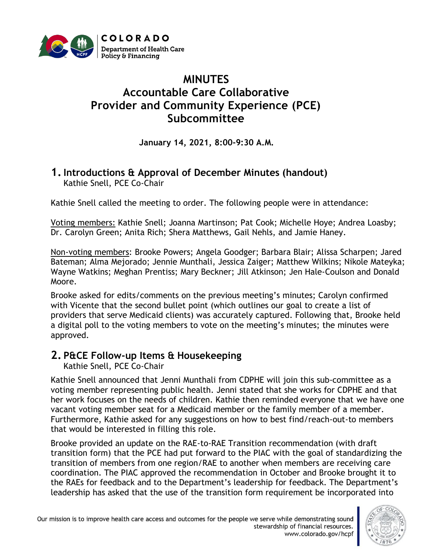

# **MINUTES Accountable Care Collaborative Provider and Community Experience (PCE) Subcommittee**

**January 14, 2021, 8:00-9:30 A.M.**

#### **1.Introductions & Approval of December Minutes (handout)** Kathie Snell, PCE Co-Chair

Kathie Snell called the meeting to order. The following people were in attendance:

Voting members: Kathie Snell; Joanna Martinson; Pat Cook; Michelle Hoye; Andrea Loasby; Dr. Carolyn Green; Anita Rich; Shera Matthews, Gail Nehls, and Jamie Haney.

Non-voting members: Brooke Powers; Angela Goodger; Barbara Blair; Alissa Scharpen; Jared Bateman; Alma Mejorado; Jennie Munthali, Jessica Zaiger; Matthew Wilkins; Nikole Mateyka; Wayne Watkins; Meghan Prentiss; Mary Beckner; Jill Atkinson; Jen Hale-Coulson and Donald Moore.

Brooke asked for edits/comments on the previous meeting's minutes; Carolyn confirmed with Vicente that the second bullet point (which outlines our goal to create a list of providers that serve Medicaid clients) was accurately captured. Following that, Brooke held a digital poll to the voting members to vote on the meeting's minutes; the minutes were approved.

## **2. P&CE Follow-up Items & Housekeeping**

Kathie Snell, PCE Co-Chair

Kathie Snell announced that Jenni Munthali from CDPHE will join this sub-committee as a voting member representing public health. Jenni stated that she works for CDPHE and that her work focuses on the needs of children. Kathie then reminded everyone that we have one vacant voting member seat for a Medicaid member or the family member of a member. Furthermore, Kathie asked for any suggestions on how to best find/reach-out-to members that would be interested in filling this role.

Brooke provided an update on the RAE-to-RAE Transition recommendation (with draft transition form) that the PCE had put forward to the PIAC with the goal of standardizing the transition of members from one region/RAE to another when members are receiving care coordination. The PIAC approved the recommendation in October and Brooke brought it to the RAEs for feedback and to the Department's leadership for feedback. The Department's leadership has asked that the use of the transition form requirement be incorporated into

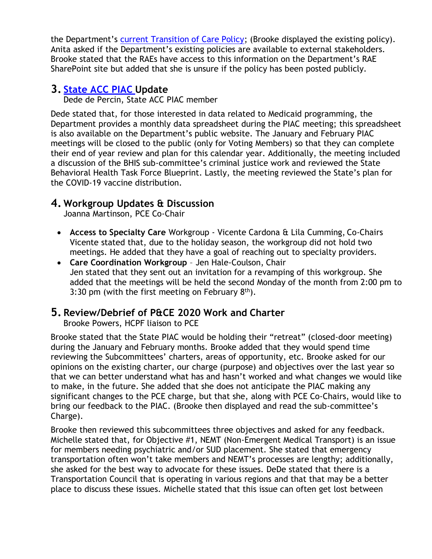the Department's [current Transition of Care Policy;](https://www.colorado.gov/pacific/sites/default/files/ACC%20Phase%20II%20Transition%20of%20Care%20Policy%20February%202020.pdf) (Brooke displayed the existing policy). Anita asked if the Department's existing policies are available to external stakeholders. Brooke stated that the RAEs have access to this information on the Department's RAE SharePoint site but added that she is unsure if the policy has been posted publicly.

### **3. [State ACC PIAC](https://www.colorado.gov/pacific/hcpf/accountable-care-collaborative-program-improvement-advisory-committee) Update**

Dede de Percin, State ACC PIAC member

Dede stated that, for those interested in data related to Medicaid programming, the Department provides a monthly data spreadsheet during the PIAC meeting; this spreadsheet is also available on the Department's public website. The January and February PIAC meetings will be closed to the public (only for Voting Members) so that they can complete their end of year review and plan for this calendar year. Additionally, the meeting included a discussion of the BHIS sub-committee's criminal justice work and reviewed the State Behavioral Health Task Force Blueprint. Lastly, the meeting reviewed the State's plan for the COVID-19 vaccine distribution.

#### **4. Workgroup Updates & Discussion**

Joanna Martinson, PCE Co-Chair

- **Access to Specialty Care** Workgroup Vicente Cardona & Lila Cumming, Co-Chairs Vicente stated that, due to the holiday season, the workgroup did not hold two meetings. He added that they have a goal of reaching out to specialty providers.
- **Care Coordination Workgroup** Jen Hale-Coulson, Chair Jen stated that they sent out an invitation for a revamping of this workgroup. She added that the meetings will be held the second Monday of the month from 2:00 pm to 3:30 pm (with the first meeting on February  $8<sup>th</sup>$ ).

#### **5. Review/Debrief of P&CE 2020 Work and Charter**

Brooke Powers, HCPF liaison to PCE

Brooke stated that the State PIAC would be holding their "retreat" (closed-door meeting) during the January and February months. Brooke added that they would spend time reviewing the Subcommittees' charters, areas of opportunity, etc. Brooke asked for our opinions on the existing charter, our charge (purpose) and objectives over the last year so that we can better understand what has and hasn't worked and what changes we would like to make, in the future. She added that she does not anticipate the PIAC making any significant changes to the PCE charge, but that she, along with PCE Co-Chairs, would like to bring our feedback to the PIAC. (Brooke then displayed and read the sub-committee's Charge).

Brooke then reviewed this subcommittees three objectives and asked for any feedback. Michelle stated that, for Objective #1, NEMT (Non-Emergent Medical Transport) is an issue for members needing psychiatric and/or SUD placement. She stated that emergency transportation often won't take members and NEMT's processes are lengthy; additionally, she asked for the best way to advocate for these issues. DeDe stated that there is a Transportation Council that is operating in various regions and that that may be a better place to discuss these issues. Michelle stated that this issue can often get lost between